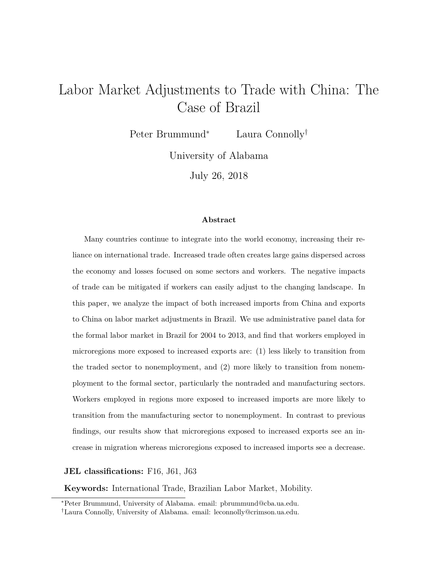# Labor Market Adjustments to Trade with China: The Case of Brazil

Peter Brummund<sup>∗</sup> Laura Connolly†

University of Alabama

July 26, 2018

#### **Abstract**

Many countries continue to integrate into the world economy, increasing their reliance on international trade. Increased trade often creates large gains dispersed across the economy and losses focused on some sectors and workers. The negative impacts of trade can be mitigated if workers can easily adjust to the changing landscape. In this paper, we analyze the impact of both increased imports from China and exports to China on labor market adjustments in Brazil. We use administrative panel data for the formal labor market in Brazil for 2004 to 2013, and find that workers employed in microregions more exposed to increased exports are: (1) less likely to transition from the traded sector to nonemployment, and (2) more likely to transition from nonemployment to the formal sector, particularly the nontraded and manufacturing sectors. Workers employed in regions more exposed to increased imports are more likely to transition from the manufacturing sector to nonemployment. In contrast to previous findings, our results show that microregions exposed to increased exports see an increase in migration whereas microregions exposed to increased imports see a decrease.

**JEL classifications:** F16, J61, J63

**Keywords:** International Trade, Brazilian Labor Market, Mobility.

<sup>∗</sup>Peter Brummund, University of Alabama. email: pbrummund@cba.ua.edu.

<sup>†</sup>Laura Connolly, University of Alabama. email: leconnolly@crimson.ua.edu.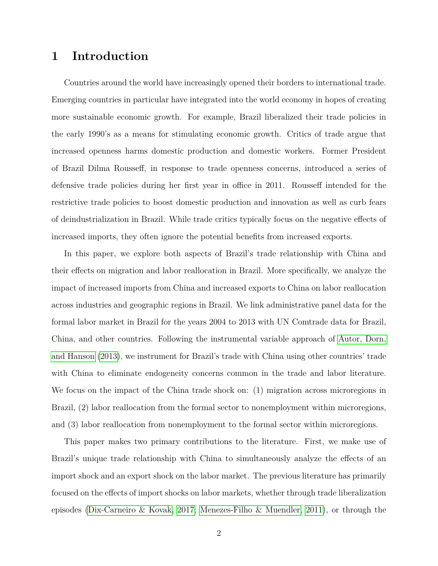### **1 Introduction**

Countries around the world have increasingly opened their borders to international trade. Emerging countries in particular have integrated into the world economy in hopes of creating more sustainable economic growth. For example, Brazil liberalized their trade policies in the early 1990's as a means for stimulating economic growth. Critics of trade argue that increased openness harms domestic production and domestic workers. Former President of Brazil Dilma Rousseff, in response to trade openness concerns, introduced a series of defensive trade policies during her first year in office in 2011. Rousseff intended for the restrictive trade policies to boost domestic production and innovation as well as curb fears of deindustrialization in Brazil. While trade critics typically focus on the negative effects of increased imports, they often ignore the potential benefits from increased exports.

In this paper, we explore both aspects of Brazil's trade relationship with China and their effects on migration and labor reallocation in Brazil. More specifically, we analyze the impact of increased imports from China and increased exports to China on labor reallocation across industries and geographic regions in Brazil. We link administrative panel data for the formal labor market in Brazil for the years 2004 to 2013 with UN Comtrade data for Brazil, China, and other countries. Following the instrumental variable approach of [Autor, Dorn,](#page-27-0) [and Hanson](#page-27-0) [\(2013\)](#page-27-0), we instrument for Brazil's trade with China using other countries' trade with China to eliminate endogeneity concerns common in the trade and labor literature. We focus on the impact of the China trade shock on: (1) migration across microregions in Brazil, (2) labor reallocation from the formal sector to nonemployment within microregions, and (3) labor reallocation from nonemployment to the formal sector within microregions.

This paper makes two primary contributions to the literature. First, we make use of Brazil's unique trade relationship with China to simultaneously analyze the effects of an import shock and an export shock on the labor market. The previous literature has primarily focused on the effects of import shocks on labor markets, whether through trade liberalization episodes [\(Dix-Carneiro & Kovak, 2017;](#page-27-1) [Menezes-Filho & Muendler, 2011\)](#page-27-2), or through the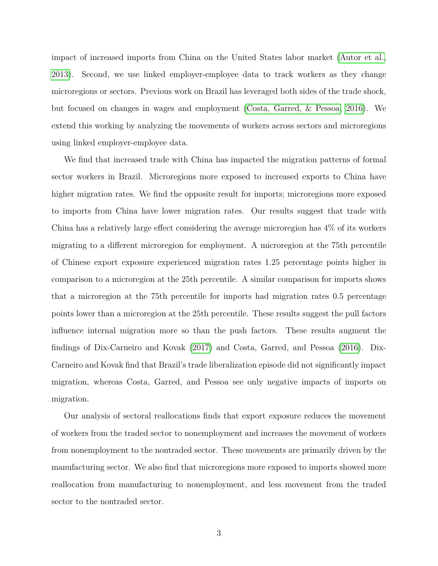impact of increased imports from China on the United States labor market [\(Autor et al.,](#page-27-0) [2013\)](#page-27-0). Second, we use linked employer-employee data to track workers as they change microregions or sectors. Previous work on Brazil has leveraged both sides of the trade shock, but focused on changes in wages and employment [\(Costa, Garred, & Pessoa, 2016\)](#page-27-3). We extend this working by analyzing the movements of workers across sectors and microregions using linked employer-employee data.

We find that increased trade with China has impacted the migration patterns of formal sector workers in Brazil. Microregions more exposed to increased exports to China have higher migration rates. We find the opposite result for imports; microregions more exposed to imports from China have lower migration rates. Our results suggest that trade with China has a relatively large effect considering the average microregion has 4% of its workers migrating to a different microregion for employment. A microregion at the 75th percentile of Chinese export exposure experienced migration rates 1.25 percentage points higher in comparison to a microregion at the 25th percentile. A similar comparison for imports shows that a microregion at the 75th percentile for imports had migration rates 0.5 percentage points lower than a microregion at the 25th percentile. These results suggest the pull factors influence internal migration more so than the push factors. These results augment the findings of Dix-Carneiro and Kovak [\(2017\)](#page-27-1) and Costa, Garred, and Pessoa [\(2016\)](#page-27-3). Dix-Carneiro and Kovak find that Brazil's trade liberalization episode did not significantly impact migration, whereas Costa, Garred, and Pessoa see only negative impacts of imports on migration.

Our analysis of sectoral reallocations finds that export exposure reduces the movement of workers from the traded sector to nonemployment and increases the movement of workers from nonemployment to the nontraded sector. These movements are primarily driven by the manufacturing sector. We also find that microregions more exposed to imports showed more reallocation from manufacturing to nonemployment, and less movement from the traded sector to the nontraded sector.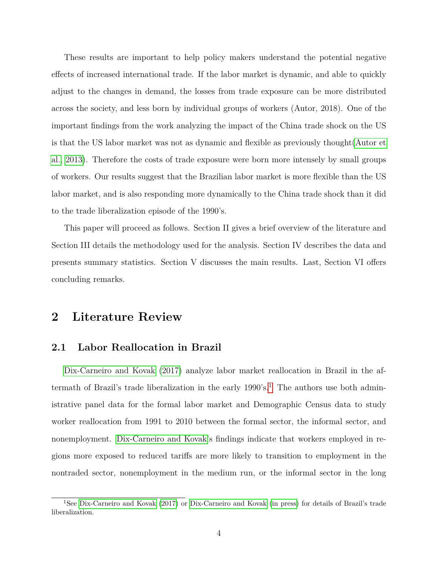These results are important to help policy makers understand the potential negative effects of increased international trade. If the labor market is dynamic, and able to quickly adjust to the changes in demand, the losses from trade exposure can be more distributed across the society, and less born by individual groups of workers (Autor, 2018). One of the important findings from the work analyzing the impact of the China trade shock on the US is that the US labor market was not as dynamic and flexible as previously thought[\(Autor et](#page-27-0) [al., 2013\)](#page-27-0). Therefore the costs of trade exposure were born more intensely by small groups of workers. Our results suggest that the Brazilian labor market is more flexible than the US labor market, and is also responding more dynamically to the China trade shock than it did to the trade liberalization episode of the 1990's.

This paper will proceed as follows. Section II gives a brief overview of the literature and Section III details the methodology used for the analysis. Section IV describes the data and presents summary statistics. Section V discusses the main results. Last, Section VI offers concluding remarks.

# **2 Literature Review**

#### **2.1 Labor Reallocation in Brazil**

[Dix-Carneiro and Kovak](#page-27-1) [\(2017\)](#page-27-1) analyze labor market reallocation in Brazil in the aftermath of Brazil's trade liberalization in the early  $1990's$  $1990's$ <sup>1</sup>. The authors use both administrative panel data for the formal labor market and Demographic Census data to study worker reallocation from 1991 to 2010 between the formal sector, the informal sector, and nonemployment. [Dix-Carneiro and Kovak'](#page-27-1)s findings indicate that workers employed in regions more exposed to reduced tariffs are more likely to transition to employment in the nontraded sector, nonemployment in the medium run, or the informal sector in the long

<span id="page-3-0"></span><sup>&</sup>lt;sup>1</sup>See [Dix-Carneiro and Kovak](#page-27-4) [\(2017\)](#page-27-1) or Dix-Carneiro and Kovak [\(in press\)](#page-27-4) for details of Brazil's trade liberalization.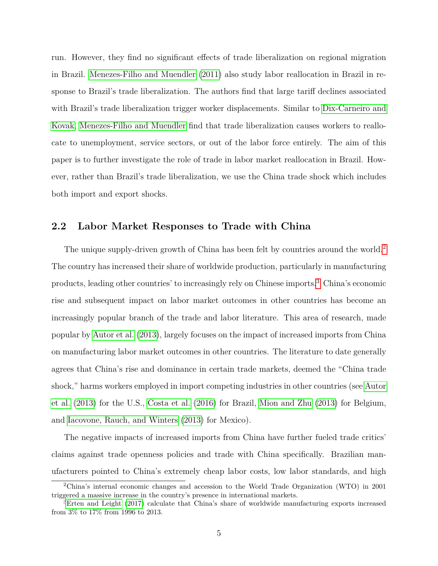run. However, they find no significant effects of trade liberalization on regional migration in Brazil. [Menezes-Filho and Muendler](#page-27-2) [\(2011\)](#page-27-2) also study labor reallocation in Brazil in response to Brazil's trade liberalization. The authors find that large tariff declines associated with Brazil's trade liberalization trigger worker displacements. Similar to [Dix-Carneiro and](#page-27-1) [Kovak,](#page-27-1) [Menezes-Filho and Muendler](#page-27-2) find that trade liberalization causes workers to reallocate to unemployment, service sectors, or out of the labor force entirely. The aim of this paper is to further investigate the role of trade in labor market reallocation in Brazil. However, rather than Brazil's trade liberalization, we use the China trade shock which includes both import and export shocks.

#### **2.2 Labor Market Responses to Trade with China**

The unique supply-driven growth of China has been felt by countries around the world.<sup>[2](#page-4-0)</sup> The country has increased their share of worldwide production, particularly in manufacturing products, leading other countries' to increasingly rely on Chinese imports.[3](#page-4-1) China's economic rise and subsequent impact on labor market outcomes in other countries has become an increasingly popular branch of the trade and labor literature. This area of research, made popular by [Autor et al.](#page-27-0) [\(2013\)](#page-27-0), largely focuses on the impact of increased imports from China on manufacturing labor market outcomes in other countries. The literature to date generally agrees that China's rise and dominance in certain trade markets, deemed the "China trade shock," harms workers employed in import competing industries in other countries (see [Autor](#page-27-0) [et al.](#page-27-0) [\(2013\)](#page-27-0) for the U.S., [Costa et al.](#page-27-3) [\(2016\)](#page-27-3) for Brazil, [Mion and Zhu](#page-28-0) [\(2013\)](#page-28-0) for Belgium, and [Iacovone, Rauch, and Winters](#page-27-5) [\(2013\)](#page-27-5) for Mexico).

The negative impacts of increased imports from China have further fueled trade critics' claims against trade openness policies and trade with China specifically. Brazilian manufacturers pointed to China's extremely cheap labor costs, low labor standards, and high

<span id="page-4-0"></span><sup>2</sup>China's internal economic changes and accession to the World Trade Organization (WTO) in 2001 triggered a massive increase in the country's presence in international markets.

<span id="page-4-1"></span><sup>&</sup>lt;sup>3</sup>[Erten and Leight](#page-27-6) [\(2017\)](#page-27-6) calculate that China's share of worldwide manufacturing exports increased from 3% to 17% from 1996 to 2013.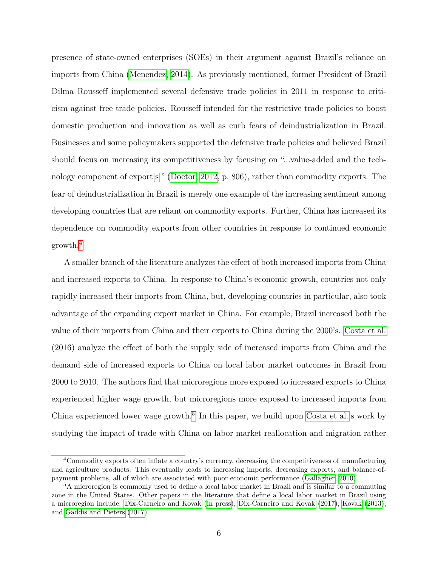presence of state-owned enterprises (SOEs) in their argument against Brazil's reliance on imports from China [\(Menendez, 2014\)](#page-27-7). As previously mentioned, former President of Brazil Dilma Rousseff implemented several defensive trade policies in 2011 in response to criticism against free trade policies. Rousseff intended for the restrictive trade policies to boost domestic production and innovation as well as curb fears of deindustrialization in Brazil. Businesses and some policymakers supported the defensive trade policies and believed Brazil should focus on increasing its competitiveness by focusing on "...value-added and the technology component of export[s]" [\(Doctor, 2012,](#page-27-8) p. 806), rather than commodity exports. The fear of deindustrialization in Brazil is merely one example of the increasing sentiment among developing countries that are reliant on commodity exports. Further, China has increased its dependence on commodity exports from other countries in response to continued economic growth.[4](#page-5-0)

A smaller branch of the literature analyzes the effect of both increased imports from China and increased exports to China. In response to China's economic growth, countries not only rapidly increased their imports from China, but, developing countries in particular, also took advantage of the expanding export market in China. For example, Brazil increased both the value of their imports from China and their exports to China during the 2000's. [Costa et al.](#page-27-3) (2016) analyze the effect of both the supply side of increased imports from China and the demand side of increased exports to China on local labor market outcomes in Brazil from 2000 to 2010. The authors find that microregions more exposed to increased exports to China experienced higher wage growth, but microregions more exposed to increased imports from China experienced lower wage growth.<sup>[5](#page-5-1)</sup> In this paper, we build upon [Costa et al.'](#page-27-3)s work by studying the impact of trade with China on labor market reallocation and migration rather

<span id="page-5-0"></span><sup>4</sup>Commodity exports often inflate a country's currency, decreasing the competitiveness of manufacturing and agriculture products. This eventually leads to increasing imports, decreasing exports, and balance-ofpayment problems, all of which are associated with poor economic performance [\(Gallagher, 2010\)](#page-27-9).

<span id="page-5-1"></span><sup>5</sup>A microregion is commonly used to define a local labor market in Brazil and is similar to a commuting zone in the United States. Other papers in the literature that define a local labor market in Brazil using a microregion include: [Dix-Carneiro and Kovak](#page-27-4) [\(in press\)](#page-27-4), [Dix-Carneiro and Kovak](#page-27-1) [\(2017\)](#page-27-1), [Kovak](#page-27-10) [\(2013\)](#page-27-10), and [Gaddis and Pieters](#page-27-11) [\(2017\)](#page-27-11).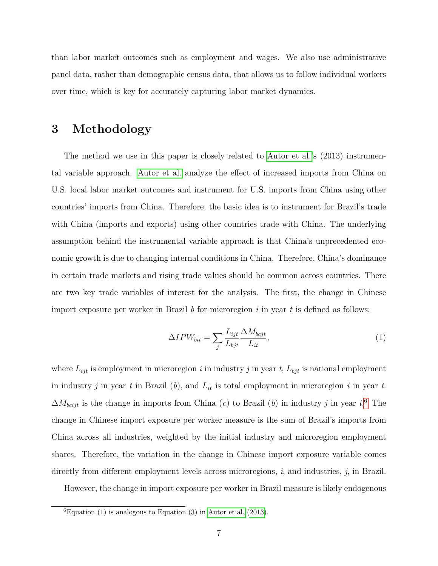than labor market outcomes such as employment and wages. We also use administrative panel data, rather than demographic census data, that allows us to follow individual workers over time, which is key for accurately capturing labor market dynamics.

#### **3 Methodology**

The method we use in this paper is closely related to [Autor et al.'](#page-27-0)s (2013) instrumental variable approach. [Autor et al.](#page-27-0) analyze the effect of increased imports from China on U.S. local labor market outcomes and instrument for U.S. imports from China using other countries' imports from China. Therefore, the basic idea is to instrument for Brazil's trade with China (imports and exports) using other countries trade with China. The underlying assumption behind the instrumental variable approach is that China's unprecedented economic growth is due to changing internal conditions in China. Therefore, China's dominance in certain trade markets and rising trade values should be common across countries. There are two key trade variables of interest for the analysis. The first, the change in Chinese import exposure per worker in Brazil *b* for microregion *i* in year *t* is defined as follows:

$$
\Delta IPW_{bit} = \sum_{j} \frac{L_{ijt}}{L_{bjt}} \frac{\Delta M_{bcjt}}{L_{it}},\tag{1}
$$

where  $L_{ijt}$  is employment in microregion *i* in industry *j* in year *t*,  $L_{bjt}$  is national employment in industry *j* in year *t* in Brazil (*b*), and *Lit* is total employment in microregion *i* in year *t*. ∆*Mbcijt* is the change in imports from China (*c*) to Brazil (*b*) in industry *j* in year *t*. [6](#page-6-0) The change in Chinese import exposure per worker measure is the sum of Brazil's imports from China across all industries, weighted by the initial industry and microregion employment shares. Therefore, the variation in the change in Chinese import exposure variable comes directly from different employment levels across microregions, *i*, and industries, *j*, in Brazil.

However, the change in import exposure per worker in Brazil measure is likely endogenous

<span id="page-6-0"></span> ${}^{6}$ Equation (1) is analogous to Equation (3) in [Autor et al.](#page-27-0) [\(2013\)](#page-27-0).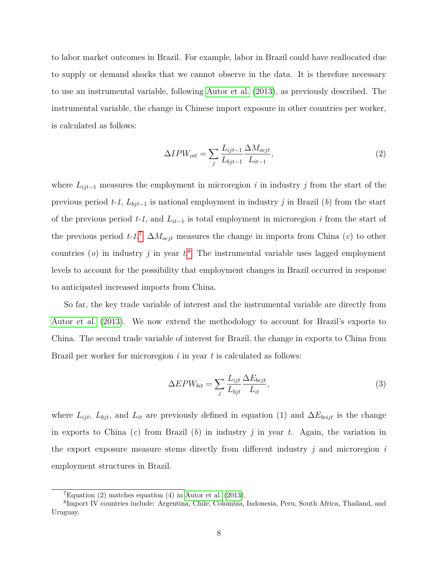to labor market outcomes in Brazil. For example, labor in Brazil could have reallocated due to supply or demand shocks that we cannot observe in the data. It is therefore necessary to use an instrumental variable, following [Autor et al.](#page-27-0) [\(2013\)](#page-27-0), as previously described. The instrumental variable, the change in Chinese import exposure in other countries per worker, is calculated as follows:

$$
\Delta IPW_{oit} = \sum_{j} \frac{L_{ijt-1}}{L_{bjt-1}} \frac{\Delta M_{ocjt}}{L_{it-1}},\tag{2}
$$

where *Lijt*−<sup>1</sup> measures the employment in microregion *i* in industry *j* from the start of the previous period *t-1*, *Lbjt*−<sup>1</sup> is national employment in industry *j* in Brazil (*b*) from the start of the previous period *t-1*, and *Lit*−<sup>1</sup> is total employment in microregion *i* from the start of the previous period  $t$ -1.<sup>[7](#page-7-0)</sup>  $\Delta M_{ocjt}$  measures the change in imports from China (*c*) to other countries (*o*) in industry *j* in year *t*. [8](#page-7-1) The instrumental variable uses lagged employment levels to account for the possibility that employment changes in Brazil occurred in response to anticipated increased imports from China.

So far, the key trade variable of interest and the instrumental variable are directly from [Autor et al.](#page-27-0) [\(2013\)](#page-27-0). We now extend the methodology to account for Brazil's exports to China. The second trade variable of interest for Brazil, the change in exports to China from Brazil per worker for microregion *i* in year *t* is calculated as follows:

$$
\Delta EPW_{bit} = \sum_{j} \frac{L_{ijt}}{L_{bjt}} \frac{\Delta E_{bcjt}}{L_{it}},\tag{3}
$$

where  $L_{ijt}$ ,  $L_{bjt}$ , and  $L_{it}$  are previously defined in equation (1) and  $\Delta E_{bcijt}$  is the change in exports to China (*c*) from Brazil (*b*) in industry *j* in year *t*. Again, the variation in the export exposure measure stems directly from different industry *j* and microregion *i* employment structures in Brazil.

<span id="page-7-1"></span><span id="page-7-0"></span> ${}^{7}$ Equation (2) matches equation (4) in [Autor et al.](#page-27-0) [\(2013\)](#page-27-0).

<sup>8</sup> Import IV countries include: Argentina, Chile, Colombia, Indonesia, Peru, South Africa, Thailand, and Uruguay.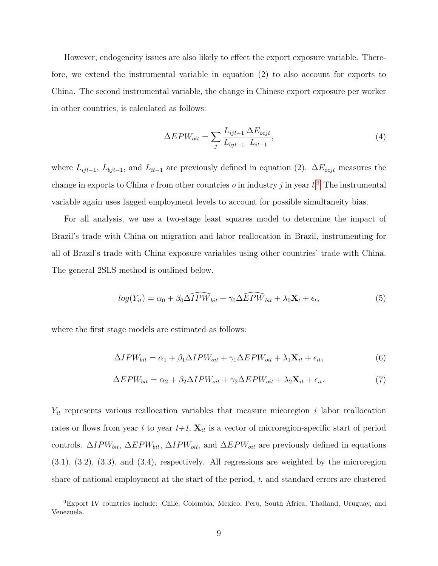However, endogeneity issues are also likely to effect the export exposure variable. Therefore, we extend the instrumental variable in equation (2) to also account for exports to China. The second instrumental variable, the change in Chinese export exposure per worker in other countries, is calculated as follows:

$$
\Delta EPW_{oit} = \sum_{j} \frac{L_{ijt-1}}{L_{bjt-1}} \frac{\Delta E_{ocjt}}{L_{it-1}},\tag{4}
$$

where  $L_{ijt-1}$ ,  $L_{bjt-1}$ , and  $L_{it-1}$  are previously defined in equation (2).  $\Delta E_{ocjt}$  measures the change in exports to China *c* from other countries *o* in industry *j* in year *t*. [9](#page-8-0) The instrumental variable again uses lagged employment levels to account for possible simultaneity bias.

For all analysis, we use a two-stage least squares model to determine the impact of Brazil's trade with China on migration and labor reallocation in Brazil, instrumenting for all of Brazil's trade with China exposure variables using other countries' trade with China. The general 2SLS method is outlined below.

$$
log(Y_{it}) = \alpha_0 + \beta_0 \widehat{\Delta IPW_{bit}} + \gamma_0 \widehat{\Delta EPW_{bit}} + \lambda_0 \mathbf{X}_t + \epsilon_t,
$$
\n
$$
\tag{5}
$$

where the first stage models are estimated as follows:

$$
\Delta IPW_{bit} = \alpha_1 + \beta_1 \Delta IPW_{oit} + \gamma_1 \Delta EPW_{oit} + \lambda_1 \mathbf{X}_{it} + \epsilon_{it},\tag{6}
$$

$$
\Delta EPW_{bit} = \alpha_2 + \beta_2 \Delta IPW_{oit} + \gamma_2 \Delta EPW_{oit} + \lambda_2 \mathbf{X}_{it} + \epsilon_{it}.
$$
\n(7)

*Yit* represents various reallocation variables that measure micoregion *i* labor reallocation rates or flows from year t to year  $t+1$ ,  $\mathbf{X}_{it}$  is a vector of microregion-specific start of period controls. ∆*IPWbit*, ∆*EPWbit*, ∆*IPWoit*, and ∆*EPWoit* are previously defined in equations (3.1), (3.2), (3.3), and (3.4), respectively. All regressions are weighted by the microregion share of national employment at the start of the period, *t*, and standard errors are clustered

<span id="page-8-0"></span><sup>9</sup>Export IV countries include: Chile, Colombia, Mexico, Peru, South Africa, Thailand, Uruguay, and Venezuela.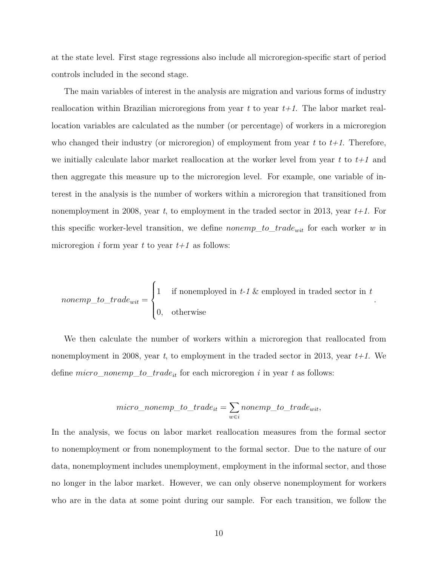at the state level. First stage regressions also include all microregion-specific start of period controls included in the second stage.

The main variables of interest in the analysis are migration and various forms of industry reallocation within Brazilian microregions from year *t* to year *t+1*. The labor market reallocation variables are calculated as the number (or percentage) of workers in a microregion who changed their industry (or microregion) of employment from year *t* to *t+1*. Therefore, we initially calculate labor market reallocation at the worker level from year *t* to *t+1* and then aggregate this measure up to the microregion level. For example, one variable of interest in the analysis is the number of workers within a microregion that transitioned from nonemployment in 2008, year *t*, to employment in the traded sector in 2013, year *t+1*. For this specific worker-level transition, we define *nonemp*\_*to*\_*tradewit* for each worker *w* in microregion *i* form year *t* to year  $t+1$  as follows:

*nonemp\_to\_train* 
$$
to\_trade_{wit} = \begin{cases} 1 & \text{if nonemployed in } t-1 \text{ & employed in traded sector in } t \\ 0, & \text{otherwise} \end{cases}.
$$

We then calculate the number of workers within a microregion that reallocated from nonemployment in 2008, year *t*, to employment in the traded sector in 2013, year *t+1*. We define *micro*\_*nonemp*\_*to*\_*tradeit* for each microregion *i* in year *t* as follows:

$$
micro\_nonemp\_to\_trade_{it} = \sum_{w \in i} nonemp\_to\_trade_{wit},
$$

In the analysis, we focus on labor market reallocation measures from the formal sector to nonemployment or from nonemployment to the formal sector. Due to the nature of our data, nonemployment includes unemployment, employment in the informal sector, and those no longer in the labor market. However, we can only observe nonemployment for workers who are in the data at some point during our sample. For each transition, we follow the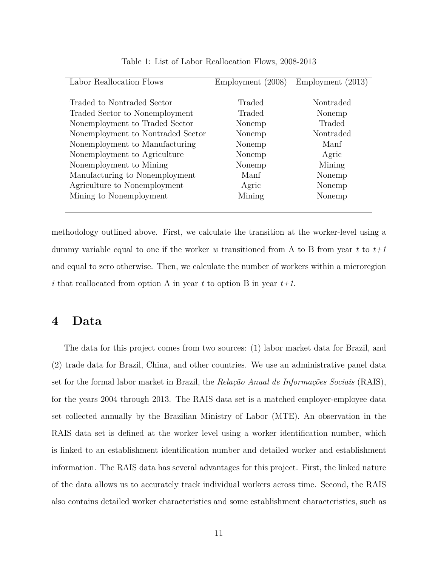| Labor Reallocation Flows          | Employment (2008) | Employment<br>(2013) |
|-----------------------------------|-------------------|----------------------|
|                                   |                   |                      |
| Traded to Nontraded Sector        | Traded            | Nontraded            |
| Traded Sector to Nonemployment    | Traded            | Nonemp               |
| Nonemployment to Traded Sector    | Nonemp            | Traded               |
| Nonemployment to Nontraded Sector | Nonemp            | Nontraded            |
| Nonemployment to Manufacturing    | Nonemp            | Manf                 |
| Nonemployment to Agriculture      | Nonemp            | Agric                |
| Nonemployment to Mining           | Nonemp            | Mining               |
| Manufacturing to Nonemployment    | Manf              | Nonemp               |
| Agriculture to Nonemployment      | Agric             | Nonemp               |
| Mining to Nonemployment           | Mining            | Nonemp               |
|                                   |                   |                      |

Table 1: List of Labor Reallocation Flows, 2008-2013

methodology outlined above. First, we calculate the transition at the worker-level using a dummy variable equal to one if the worker *w* transitioned from A to B from year *t* to *t+1* and equal to zero otherwise. Then, we calculate the number of workers within a microregion *i* that reallocated from option A in year *t* to option B in year *t+1*.

### **4 Data**

The data for this project comes from two sources: (1) labor market data for Brazil, and (2) trade data for Brazil, China, and other countries. We use an administrative panel data set for the formal labor market in Brazil, the *Relação Anual de Informações Sociais* (RAIS), for the years 2004 through 2013. The RAIS data set is a matched employer-employee data set collected annually by the Brazilian Ministry of Labor (MTE). An observation in the RAIS data set is defined at the worker level using a worker identification number, which is linked to an establishment identification number and detailed worker and establishment information. The RAIS data has several advantages for this project. First, the linked nature of the data allows us to accurately track individual workers across time. Second, the RAIS also contains detailed worker characteristics and some establishment characteristics, such as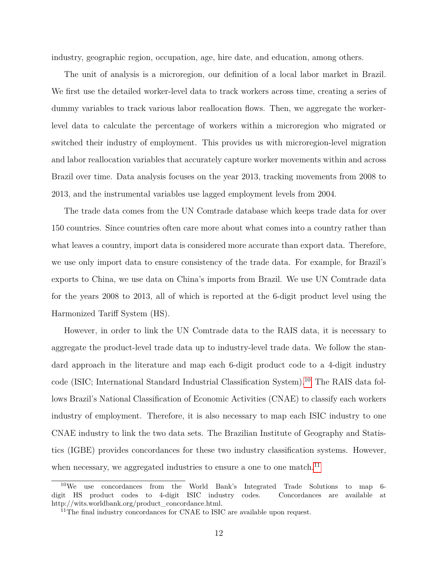industry, geographic region, occupation, age, hire date, and education, among others.

The unit of analysis is a microregion, our definition of a local labor market in Brazil. We first use the detailed worker-level data to track workers across time, creating a series of dummy variables to track various labor reallocation flows. Then, we aggregate the workerlevel data to calculate the percentage of workers within a microregion who migrated or switched their industry of employment. This provides us with microregion-level migration and labor reallocation variables that accurately capture worker movements within and across Brazil over time. Data analysis focuses on the year 2013, tracking movements from 2008 to 2013, and the instrumental variables use lagged employment levels from 2004.

The trade data comes from the UN Comtrade database which keeps trade data for over 150 countries. Since countries often care more about what comes into a country rather than what leaves a country, import data is considered more accurate than export data. Therefore, we use only import data to ensure consistency of the trade data. For example, for Brazil's exports to China, we use data on China's imports from Brazil. We use UN Comtrade data for the years 2008 to 2013, all of which is reported at the 6-digit product level using the Harmonized Tariff System (HS).

However, in order to link the UN Comtrade data to the RAIS data, it is necessary to aggregate the product-level trade data up to industry-level trade data. We follow the standard approach in the literature and map each 6-digit product code to a 4-digit industry code (ISIC; International Standard Industrial Classification System).[10](#page-11-0) The RAIS data follows Brazil's National Classification of Economic Activities (CNAE) to classify each workers industry of employment. Therefore, it is also necessary to map each ISIC industry to one CNAE industry to link the two data sets. The Brazilian Institute of Geography and Statistics (IGBE) provides concordances for these two industry classification systems. However, when necessary, we aggregated industries to ensure a one to one match.<sup>[11](#page-11-1)</sup>

<span id="page-11-0"></span><sup>&</sup>lt;sup>10</sup>We use concordances from the World Bank's Integrated Trade Solutions to map 6digit HS product codes to 4-digit ISIC industry codes. Concordances are available at http://wits.worldbank.org/product\_concordance.html.

<span id="page-11-1"></span><sup>&</sup>lt;sup>11</sup>The final industry concordances for CNAE to ISIC are available upon request.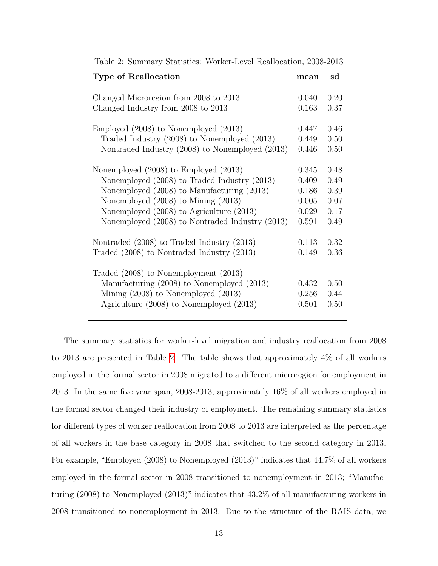| <b>Type of Reallocation</b>                                                                                                                                                    | mean                    | $_{\rm sd}$          |
|--------------------------------------------------------------------------------------------------------------------------------------------------------------------------------|-------------------------|----------------------|
| Changed Microregion from 2008 to 2013                                                                                                                                          | 0.040                   | 0.20                 |
| Changed Industry from 2008 to 2013                                                                                                                                             | 0.163                   | 0.37                 |
| Employed (2008) to Nonemployed (2013)                                                                                                                                          | 0.447                   | 0.46                 |
| Traded Industry (2008) to Nonemployed (2013)                                                                                                                                   | 0.449                   | 0.50                 |
| Nontraded Industry (2008) to Nonemployed (2013)                                                                                                                                | 0.446                   | 0.50                 |
| Nonemployed (2008) to Employed (2013)                                                                                                                                          | 0.345                   | 0.48                 |
| Nonemployed (2008) to Traded Industry (2013)                                                                                                                                   | 0.409                   | 0.49                 |
| Nonemployed (2008) to Manufacturing (2013)                                                                                                                                     | 0.186                   | 0.39                 |
| Nonemployed $(2008)$ to Mining $(2013)$                                                                                                                                        | 0.005                   | 0.07                 |
| Nonemployed $(2008)$ to Agriculture $(2013)$                                                                                                                                   | 0.029                   | 0.17                 |
| Nonemployed (2008) to Nontraded Industry (2013)                                                                                                                                | 0.591                   | 0.49                 |
| Nontraded (2008) to Traded Industry (2013)                                                                                                                                     | 0.113                   | 0.32                 |
| Traded (2008) to Nontraded Industry (2013)                                                                                                                                     | 0.149                   | 0.36                 |
| Traded $(2008)$ to Nonemployment $(2013)$<br>Manufacturing (2008) to Nonemployed (2013)<br>Mining $(2008)$ to Nonemployed $(2013)$<br>Agriculture (2008) to Nonemployed (2013) | 0.432<br>0.256<br>0.501 | 0.50<br>0.44<br>0.50 |

<span id="page-12-0"></span>Table 2: Summary Statistics: Worker-Level Reallocation, 2008-2013

The summary statistics for worker-level migration and industry reallocation from 2008 to 2013 are presented in Table [2.](#page-12-0) The table shows that approximately 4% of all workers employed in the formal sector in 2008 migrated to a different microregion for employment in 2013. In the same five year span, 2008-2013, approximately 16% of all workers employed in the formal sector changed their industry of employment. The remaining summary statistics for different types of worker reallocation from 2008 to 2013 are interpreted as the percentage of all workers in the base category in 2008 that switched to the second category in 2013. For example, "Employed (2008) to Nonemployed (2013)" indicates that 44.7% of all workers employed in the formal sector in 2008 transitioned to nonemployment in 2013; "Manufacturing (2008) to Nonemployed (2013)" indicates that 43.2% of all manufacturing workers in 2008 transitioned to nonemployment in 2013. Due to the structure of the RAIS data, we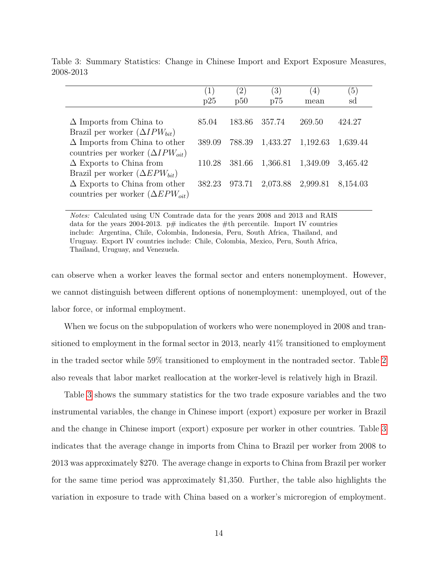|                                           |        | (2)    | $^{\prime}3)$ | 4        | (5)      |
|-------------------------------------------|--------|--------|---------------|----------|----------|
|                                           | p25    | p50    | p75           | mean     | sd       |
|                                           |        |        |               |          |          |
| $\Delta$ Imports from China to            | 85.04  | 183.86 | 357.74        | 269.50   | 424.27   |
| Brazil per worker $(\Delta IPW_{bit})$    |        |        |               |          |          |
| $\Delta$ Imports from China to other      | 389.09 | 788.39 | 1,433.27      | 1,192.63 | 1,639.44 |
| countries per worker $(\Delta IPW_{oit})$ |        |        |               |          |          |
| $\Delta$ Exports to China from            | 110.28 | 381.66 | 1,366.81      | 1,349.09 | 3,465.42 |
| Brazil per worker $(\Delta EPW_{bit})$    |        |        |               |          |          |
| $\Delta$ Exports to China from other      | 382.23 | 973.71 | 2,073.88      | 2,999.81 | 8,154.03 |
| countries per worker $(\Delta EPW_{oit})$ |        |        |               |          |          |
|                                           |        |        |               |          |          |

<span id="page-13-0"></span>Table 3: Summary Statistics: Change in Chinese Import and Export Exposure Measures, 2008-2013

*Notes:* Calculated using UN Comtrade data for the years 2008 and 2013 and RAIS data for the years 2004-2013. p# indicates the #th percentile. Import IV countries include: Argentina, Chile, Colombia, Indonesia, Peru, South Africa, Thailand, and Uruguay. Export IV countries include: Chile, Colombia, Mexico, Peru, South Africa, Thailand, Uruguay, and Venezuela.

can observe when a worker leaves the formal sector and enters nonemployment. However, we cannot distinguish between different options of nonemployment: unemployed, out of the labor force, or informal employment.

When we focus on the subpopulation of workers who were nonemployed in 2008 and transitioned to employment in the formal sector in 2013, nearly 41% transitioned to employment in the traded sector while 59% transitioned to employment in the nontraded sector. Table [2](#page-12-0) also reveals that labor market reallocation at the worker-level is relatively high in Brazil.

Table [3](#page-13-0) shows the summary statistics for the two trade exposure variables and the two instrumental variables, the change in Chinese import (export) exposure per worker in Brazil and the change in Chinese import (export) exposure per worker in other countries. Table [3](#page-13-0) indicates that the average change in imports from China to Brazil per worker from 2008 to 2013 was approximately \$270. The average change in exports to China from Brazil per worker for the same time period was approximately \$1,350. Further, the table also highlights the variation in exposure to trade with China based on a worker's microregion of employment.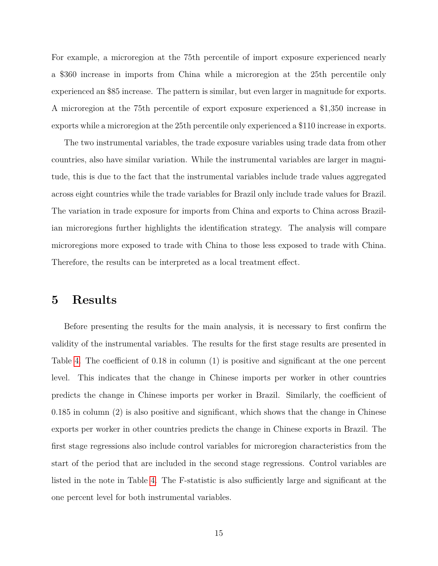For example, a microregion at the 75th percentile of import exposure experienced nearly a \$360 increase in imports from China while a microregion at the 25th percentile only experienced an \$85 increase. The pattern is similar, but even larger in magnitude for exports. A microregion at the 75th percentile of export exposure experienced a \$1,350 increase in exports while a microregion at the 25th percentile only experienced a \$110 increase in exports.

The two instrumental variables, the trade exposure variables using trade data from other countries, also have similar variation. While the instrumental variables are larger in magnitude, this is due to the fact that the instrumental variables include trade values aggregated across eight countries while the trade variables for Brazil only include trade values for Brazil. The variation in trade exposure for imports from China and exports to China across Brazilian microregions further highlights the identification strategy. The analysis will compare microregions more exposed to trade with China to those less exposed to trade with China. Therefore, the results can be interpreted as a local treatment effect.

### **5 Results**

Before presenting the results for the main analysis, it is necessary to first confirm the validity of the instrumental variables. The results for the first stage results are presented in Table [4.](#page-15-0) The coefficient of 0.18 in column (1) is positive and significant at the one percent level. This indicates that the change in Chinese imports per worker in other countries predicts the change in Chinese imports per worker in Brazil. Similarly, the coefficient of 0.185 in column (2) is also positive and significant, which shows that the change in Chinese exports per worker in other countries predicts the change in Chinese exports in Brazil. The first stage regressions also include control variables for microregion characteristics from the start of the period that are included in the second stage regressions. Control variables are listed in the note in Table [4.](#page-15-0) The F-statistic is also sufficiently large and significant at the one percent level for both instrumental variables.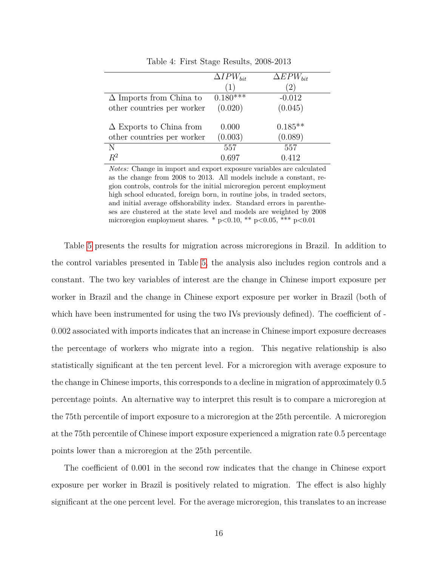|                                | $\Delta IPW_{bit}$ | $\Delta EPW_{bit}$ |
|--------------------------------|--------------------|--------------------|
|                                | (1)                | (2)                |
| $\Delta$ Imports from China to | $0.180***$         | $-0.012$           |
| other countries per worker     | (0.020)            | (0.045)            |
|                                |                    |                    |
| $\Delta$ Exports to China from | 0.000              | $0.185**$          |
| other countries per worker     | (0.003)            | (0.089)            |
| N                              | 557                | 557                |
| $R^2$                          | 0.697              | 0.412              |

<span id="page-15-0"></span>Table 4: First Stage Results, 2008-2013

*Notes:* Change in import and export exposure variables are calculated as the change from 2008 to 2013. All models include a constant, region controls, controls for the initial microregion percent employment high school educated, foreign born, in routine jobs, in traded sectors, and initial average offshorability index. Standard errors in parentheses are clustered at the state level and models are weighted by 2008 microregion employment shares. \* p*<*0.10, \*\* p*<*0.05, \*\*\* p*<*0.01

Table [5](#page-16-0) presents the results for migration across microregions in Brazil. In addition to the control variables presented in Table [5,](#page-16-0) the analysis also includes region controls and a constant. The two key variables of interest are the change in Chinese import exposure per worker in Brazil and the change in Chinese export exposure per worker in Brazil (both of which have been instrumented for using the two IVs previously defined). The coefficient of -0.002 associated with imports indicates that an increase in Chinese import exposure decreases the percentage of workers who migrate into a region. This negative relationship is also statistically significant at the ten percent level. For a microregion with average exposure to the change in Chinese imports, this corresponds to a decline in migration of approximately 0.5 percentage points. An alternative way to interpret this result is to compare a microregion at the 75th percentile of import exposure to a microregion at the 25th percentile. A microregion at the 75th percentile of Chinese import exposure experienced a migration rate 0.5 percentage points lower than a microregion at the 25th percentile.

The coefficient of 0.001 in the second row indicates that the change in Chinese export exposure per worker in Brazil is positively related to migration. The effect is also highly significant at the one percent level. For the average microregion, this translates to an increase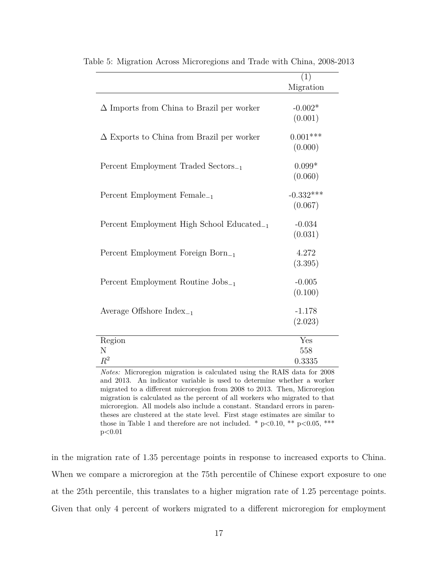<span id="page-16-0"></span>

|                                                       | (1)         |
|-------------------------------------------------------|-------------|
|                                                       | Migration   |
| $\Delta$ Imports from China to Brazil per worker      | $-0.002*$   |
|                                                       | (0.001)     |
| $\Delta$ Exports to China from Brazil per worker      | $0.001***$  |
|                                                       | (0.000)     |
| Percent Employment Traded Sectors <sub>-1</sub>       | $0.099*$    |
|                                                       | (0.060)     |
| Percent Employment Female <sub>-1</sub>               | $-0.332***$ |
|                                                       | (0.067)     |
| Percent Employment High School Educated <sub>-1</sub> | $-0.034$    |
|                                                       | (0.031)     |
| Percent Employment Foreign Born <sub>-1</sub>         | 4.272       |
|                                                       | (3.395)     |
| Percent Employment Routine $\text{Jobs}_{-1}$         | $-0.005$    |
|                                                       | (0.100)     |
| Average Offshore $Index_{-1}$                         | $-1.178$    |
|                                                       | (2.023)     |
|                                                       |             |
| Region                                                | Yes         |
| N                                                     | 558         |
| $R^2$                                                 | 0.3335      |

Table 5: Migration Across Microregions and Trade with China, 2008-2013

*Notes:* Microregion migration is calculated using the RAIS data for 2008 and 2013. An indicator variable is used to determine whether a worker migrated to a different microregion from 2008 to 2013. Then, Microregion migration is calculated as the percent of all workers who migrated to that microregion. All models also include a constant. Standard errors in parentheses are clustered at the state level. First stage estimates are similar to those in Table 1 and therefore are not included.  $*$   $p<0.10$ ,  $**$   $p<0.05$ ,  $***$ p*<*0.01

in the migration rate of 1.35 percentage points in response to increased exports to China. When we compare a microregion at the 75th percentile of Chinese export exposure to one at the 25th percentile, this translates to a higher migration rate of 1.25 percentage points. Given that only 4 percent of workers migrated to a different microregion for employment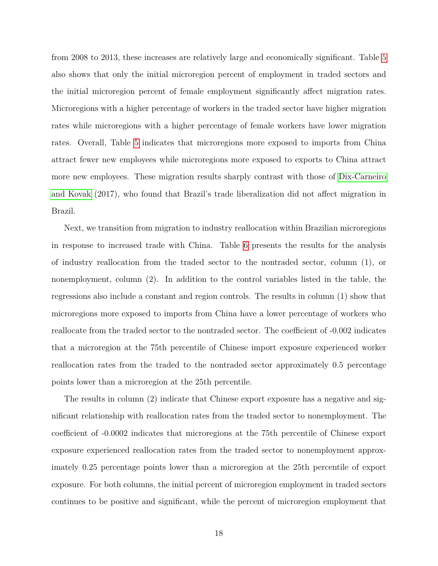from 2008 to 2013, these increases are relatively large and economically significant. Table [5](#page-16-0) also shows that only the initial microregion percent of employment in traded sectors and the initial microregion percent of female employment significantly affect migration rates. Microregions with a higher percentage of workers in the traded sector have higher migration rates while microregions with a higher percentage of female workers have lower migration rates. Overall, Table [5](#page-16-0) indicates that microregions more exposed to imports from China attract fewer new employees while microregions more exposed to exports to China attract more new employees. These migration results sharply contrast with those of [Dix-Carneiro](#page-27-1) [and Kovak](#page-27-1) (2017), who found that Brazil's trade liberalization did not affect migration in Brazil.

Next, we transition from migration to industry reallocation within Brazilian microregions in response to increased trade with China. Table [6](#page-18-0) presents the results for the analysis of industry reallocation from the traded sector to the nontraded sector, column (1), or nonemployment, column (2). In addition to the control variables listed in the table, the regressions also include a constant and region controls. The results in column (1) show that microregions more exposed to imports from China have a lower percentage of workers who reallocate from the traded sector to the nontraded sector. The coefficient of -0.002 indicates that a microregion at the 75th percentile of Chinese import exposure experienced worker reallocation rates from the traded to the nontraded sector approximately 0.5 percentage points lower than a microregion at the 25th percentile.

The results in column (2) indicate that Chinese export exposure has a negative and significant relationship with reallocation rates from the traded sector to nonemployment. The coefficient of -0.0002 indicates that microregions at the 75th percentile of Chinese export exposure experienced reallocation rates from the traded sector to nonemployment approximately 0.25 percentage points lower than a microregion at the 25th percentile of export exposure. For both columns, the initial percent of microregion employment in traded sectors continues to be positive and significant, while the percent of microregion employment that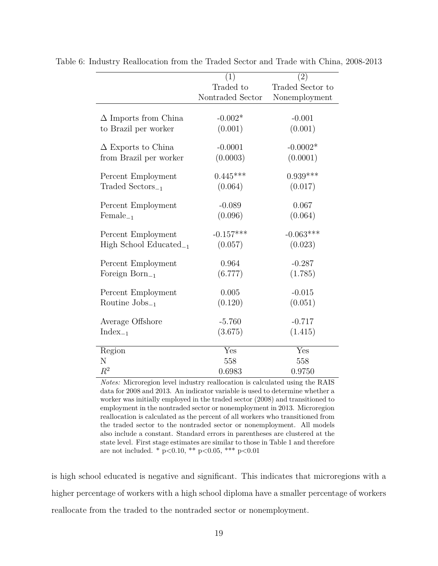<span id="page-18-0"></span>

|                                    | (1)              | (2)              |
|------------------------------------|------------------|------------------|
|                                    | Traded to        | Traded Sector to |
|                                    | Nontraded Sector | Nonemployment    |
|                                    |                  |                  |
| $\Delta$ Imports from China        | $-0.002*$        | $-0.001$         |
| to Brazil per worker               | (0.001)          | (0.001)          |
|                                    |                  |                  |
| $\Delta$ Exports to China          | $-0.0001$        | $-0.0002*$       |
| from Brazil per worker             | (0.0003)         | (0.0001)         |
|                                    |                  | $0.939***$       |
| Percent Employment                 | $0.445***$       |                  |
| $\text{Traded Sectors}_{-1}$       | (0.064)          | (0.017)          |
| Percent Employment                 | $-0.089$         | 0.067            |
| $Female_{-1}$                      | (0.096)          | (0.064)          |
|                                    |                  |                  |
| Percent Employment                 | $-0.157***$      | $-0.063***$      |
| High School Educated <sub>-1</sub> | (0.057)          | (0.023)          |
| Percent Employment                 | 0.964            | $-0.287$         |
| Foreign Born $_{-1}$               | (6.777)          | (1.785)          |
|                                    |                  |                  |
| Percent Employment                 | 0.005            | $-0.015$         |
| Routine $\mathrm{Jobs}_{-1}$       | (0.120)          | (0.051)          |
|                                    |                  |                  |
| Average Offshore                   | $-5.760$         | $-0.717$         |
| $Index_{-1}$                       | (3.675)          | (1.415)          |
| Region                             | Yes              | Yes              |
| Ν                                  | 558              | 558              |
| $\,R^2$                            | 0.6983           | 0.9750           |
|                                    |                  |                  |

Table 6: Industry Reallocation from the Traded Sector and Trade with China, 2008-2013

*Notes:* Microregion level industry reallocation is calculated using the RAIS data for 2008 and 2013. An indicator variable is used to determine whether a worker was initially employed in the traded sector (2008) and transitioned to employment in the nontraded sector or nonemployment in 2013. Microregion reallocation is calculated as the percent of all workers who transitioned from the traded sector to the nontraded sector or nonemployment. All models also include a constant. Standard errors in parentheses are clustered at the state level. First stage estimates are similar to those in Table 1 and therefore are not included. \* p*<*0.10, \*\* p*<*0.05, \*\*\* p*<*0.01

is high school educated is negative and significant. This indicates that microregions with a higher percentage of workers with a high school diploma have a smaller percentage of workers reallocate from the traded to the nontraded sector or nonemployment.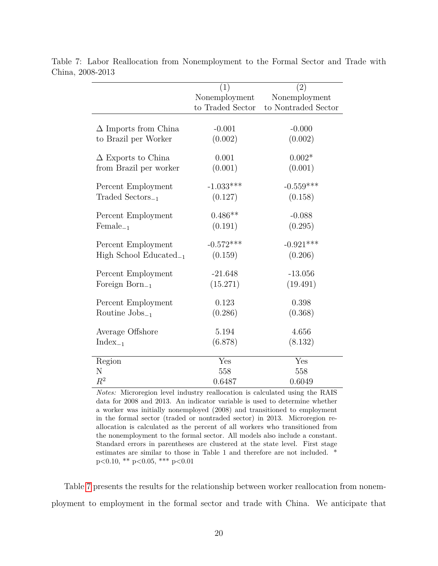<span id="page-19-0"></span>

|                                    | (1)              | (2)                 |
|------------------------------------|------------------|---------------------|
|                                    | Nonemployment    | Nonemployment       |
|                                    | to Traded Sector | to Nontraded Sector |
|                                    |                  |                     |
| $\Delta$ Imports from China        | $-0.001$         | $-0.000$            |
| to Brazil per Worker               | (0.002)          | (0.002)             |
| $\Delta$ Exports to China          | 0.001            | $0.002*$            |
| from Brazil per worker             | (0.001)          | (0.001)             |
| Percent Employment                 | $-1.033***$      | $-0.559***$         |
| $\text{Traded Sectors}_{-1}$       | (0.127)          | (0.158)             |
| Percent Employment                 | $0.486**$        | $-0.088$            |
| $Female_{-1}$                      | (0.191)          | (0.295)             |
| Percent Employment                 | $-0.572***$      | $-0.921***$         |
| High School Educated <sub>-1</sub> | (0.159)          | (0.206)             |
| Percent Employment                 | $-21.648$        | $-13.056$           |
| Foreign Born $_{-1}$               | (15.271)         | (19.491)            |
| Percent Employment                 | 0.123            | 0.398               |
| Routine $\mathrm{Jobs}_{-1}$       | (0.286)          | (0.368)             |
| Average Offshore                   | 5.194            | 4.656               |
| $Index_{-1}$                       | (6.878)          | (8.132)             |
| Region                             | Yes              | Yes                 |
| N                                  | 558              | 558                 |
| $\mathbb{R}^2$                     | 0.6487           | 0.6049              |

Table 7: Labor Reallocation from Nonemployment to the Formal Sector and Trade with China, 2008-2013

*Notes:* Microregion level industry reallocation is calculated using the RAIS data for 2008 and 2013. An indicator variable is used to determine whether a worker was initially nonemployed (2008) and transitioned to employment in the formal sector (traded or nontraded sector) in 2013. Microregion reallocation is calculated as the percent of all workers who transitioned from the nonemployment to the formal sector. All models also include a constant. Standard errors in parentheses are clustered at the state level. First stage estimates are similar to those in Table 1 and therefore are not included. \* p*<*0.10, \*\* p*<*0.05, \*\*\* p*<*0.01

Table [7](#page-19-0) presents the results for the relationship between worker reallocation from nonemployment to employment in the formal sector and trade with China. We anticipate that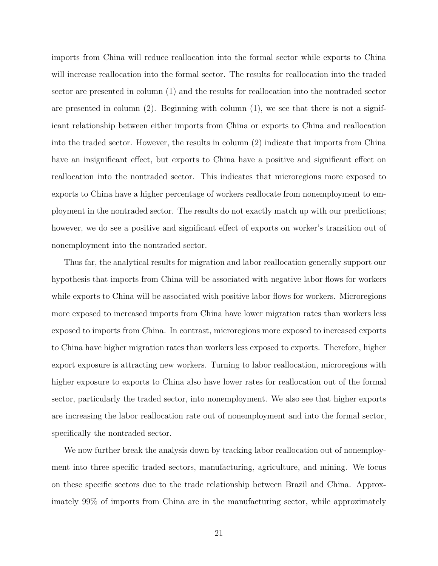imports from China will reduce reallocation into the formal sector while exports to China will increase reallocation into the formal sector. The results for reallocation into the traded sector are presented in column (1) and the results for reallocation into the nontraded sector are presented in column  $(2)$ . Beginning with column  $(1)$ , we see that there is not a significant relationship between either imports from China or exports to China and reallocation into the traded sector. However, the results in column (2) indicate that imports from China have an insignificant effect, but exports to China have a positive and significant effect on reallocation into the nontraded sector. This indicates that microregions more exposed to exports to China have a higher percentage of workers reallocate from nonemployment to employment in the nontraded sector. The results do not exactly match up with our predictions; however, we do see a positive and significant effect of exports on worker's transition out of nonemployment into the nontraded sector.

Thus far, the analytical results for migration and labor reallocation generally support our hypothesis that imports from China will be associated with negative labor flows for workers while exports to China will be associated with positive labor flows for workers. Microregions more exposed to increased imports from China have lower migration rates than workers less exposed to imports from China. In contrast, microregions more exposed to increased exports to China have higher migration rates than workers less exposed to exports. Therefore, higher export exposure is attracting new workers. Turning to labor reallocation, microregions with higher exposure to exports to China also have lower rates for reallocation out of the formal sector, particularly the traded sector, into nonemployment. We also see that higher exports are increasing the labor reallocation rate out of nonemployment and into the formal sector, specifically the nontraded sector.

We now further break the analysis down by tracking labor reallocation out of nonemployment into three specific traded sectors, manufacturing, agriculture, and mining. We focus on these specific sectors due to the trade relationship between Brazil and China. Approximately 99% of imports from China are in the manufacturing sector, while approximately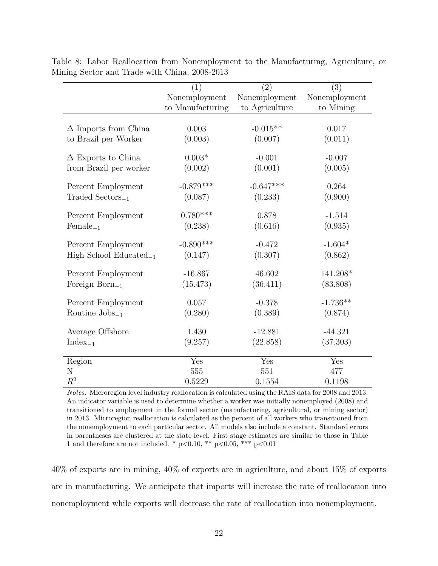|                              | (1)                       | (2)            | $\overline{(3)}$ |
|------------------------------|---------------------------|----------------|------------------|
|                              | Nonemployment             | Nonemployment  | Nonemployment    |
|                              | to Manufacturing          | to Agriculture | to Mining        |
|                              |                           |                |                  |
| $\Delta$ Imports from China  | 0.003                     | $-0.015**$     | 0.017            |
| to Brazil per Worker         | (0.003)                   | (0.007)        | (0.011)          |
|                              |                           |                |                  |
| $\Delta$ Exports to China    | $0.003*$                  | $-0.001$       | $-0.007$         |
| from Brazil per worker       | (0.002)                   | (0.001)        | (0.005)          |
| Percent Employment           | $-0.879***$               | $-0.647***$    | 0.264            |
| $\text{Traded Sectors}_{-1}$ | (0.087)                   | (0.233)        | (0.900)          |
|                              |                           |                |                  |
| Percent Employment           | $0.780***$                | 0.878          | $-1.514$         |
| $Female_{-1}$                | (0.238)                   | (0.616)        | (0.935)          |
|                              |                           |                |                  |
| Percent Employment           | $-0.890***$               | $-0.472$       | $-1.604*$        |
| High School Educated $_{-1}$ | (0.147)                   | (0.307)        | (0.862)          |
| Percent Employment           | $-16.867$                 | 46.602         | 141.208*         |
| Foreign $\mathrm{Born}_{-1}$ | (15.473)                  | (36.411)       | (83.808)         |
|                              |                           |                |                  |
| Percent Employment           | 0.057                     | $-0.378$       | $-1.736**$       |
| Routine $\text{Jobs}_{-1}$   | (0.280)                   | (0.389)        | (0.874)          |
|                              |                           |                |                  |
| Average Offshore             | 1.430                     | $-12.881$      | $-44.321$        |
| $Index_{-1}$                 | (9.257)                   | (22.858)       | (37.303)         |
| Region                       | $\overline{\mathrm{Yes}}$ | Yes            | Yes              |
| N                            | 555                       | 551            | 477              |
| $R^2$                        | 0.5229                    | 0.1554         | 0.1198           |

<span id="page-21-0"></span>Table 8: Labor Reallocation from Nonemployment to the Manufacturing, Agriculture, or Mining Sector and Trade with China, 2008-2013

*Notes:* Microregion level industry reallocation is calculated using the RAIS data for 2008 and 2013. An indicator variable is used to determine whether a worker was initially nonemployed (2008) and transitioned to employment in the formal sector (manufacturing, agricultural, or mining sector) in 2013. Microregion reallocation is calculated as the percent of all workers who transitioned from the nonemployment to each particular sector. All models also include a constant. Standard errors in parentheses are clustered at the state level. First stage estimates are similar to those in Table 1 and therefore are not included. \* p*<*0.10, \*\* p*<*0.05, \*\*\* p*<*0.01

40% of exports are in mining, 40% of exports are in agriculture, and about 15% of exports are in manufacturing. We anticipate that imports will increase the rate of reallocation into nonemployment while exports will decrease the rate of reallocation into nonemployment.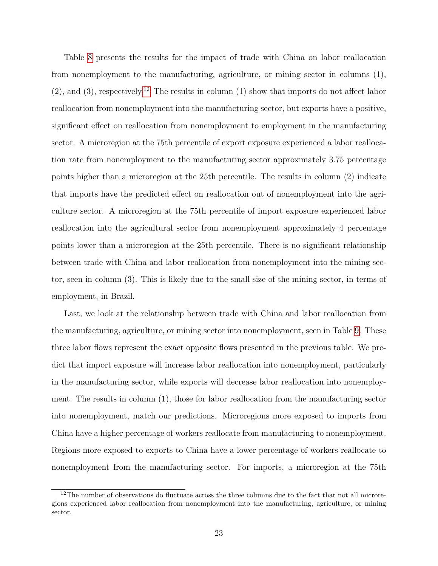Table [8](#page-21-0) presents the results for the impact of trade with China on labor reallocation from nonemployment to the manufacturing, agriculture, or mining sector in columns (1),  $(2)$ , and  $(3)$ , respectively.<sup>[12](#page-22-0)</sup> The results in column  $(1)$  show that imports do not affect labor reallocation from nonemployment into the manufacturing sector, but exports have a positive, significant effect on reallocation from nonemployment to employment in the manufacturing sector. A microregion at the 75th percentile of export exposure experienced a labor reallocation rate from nonemployment to the manufacturing sector approximately 3.75 percentage points higher than a microregion at the 25th percentile. The results in column (2) indicate that imports have the predicted effect on reallocation out of nonemployment into the agriculture sector. A microregion at the 75th percentile of import exposure experienced labor reallocation into the agricultural sector from nonemployment approximately 4 percentage points lower than a microregion at the 25th percentile. There is no significant relationship between trade with China and labor reallocation from nonemployment into the mining sector, seen in column (3). This is likely due to the small size of the mining sector, in terms of employment, in Brazil.

Last, we look at the relationship between trade with China and labor reallocation from the manufacturing, agriculture, or mining sector into nonemployment, seen in Table [9.](#page-23-0) These three labor flows represent the exact opposite flows presented in the previous table. We predict that import exposure will increase labor reallocation into nonemployment, particularly in the manufacturing sector, while exports will decrease labor reallocation into nonemployment. The results in column (1), those for labor reallocation from the manufacturing sector into nonemployment, match our predictions. Microregions more exposed to imports from China have a higher percentage of workers reallocate from manufacturing to nonemployment. Regions more exposed to exports to China have a lower percentage of workers reallocate to nonemployment from the manufacturing sector. For imports, a microregion at the 75th

<span id="page-22-0"></span><sup>&</sup>lt;sup>12</sup>The number of observations do fluctuate across the three columns due to the fact that not all microregions experienced labor reallocation from nonemployment into the manufacturing, agriculture, or mining sector.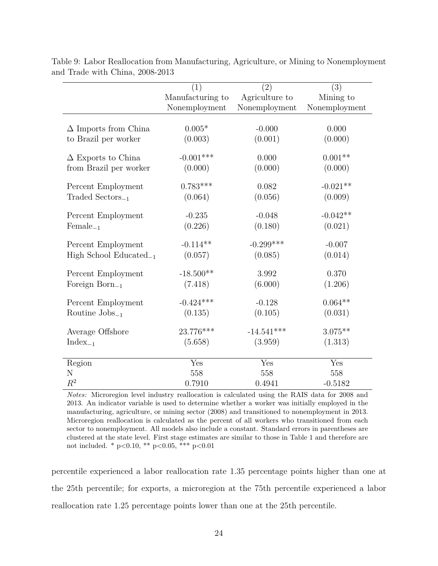|                              | (1)              | (2)            | $\overline{(3)}$ |
|------------------------------|------------------|----------------|------------------|
|                              | Manufacturing to | Agriculture to | Mining to        |
|                              | Nonemployment    | Nonemployment  | Nonemployment    |
|                              |                  |                |                  |
| $\Delta$ Imports from China  | $0.005*$         | $-0.000$       | 0.000            |
| to Brazil per worker         | (0.003)          | (0.001)        | (0.000)          |
| $\Delta$ Exports to China    | $-0.001***$      | 0.000          | $0.001**$        |
| from Brazil per worker       | (0.000)          | (0.000)        | (0.000)          |
|                              |                  |                |                  |
| Percent Employment           | $0.783***$       | 0.082          | $-0.021**$       |
| $\text{Traded Sectors}_{-1}$ | (0.064)          | (0.056)        | (0.009)          |
|                              |                  |                |                  |
| Percent Employment           | $-0.235$         | $-0.048$       | $-0.042**$       |
| $Female_{-1}$                | (0.226)          | (0.180)        | (0.021)          |
| Percent Employment           | $-0.114**$       | $-0.299***$    | $-0.007$         |
| High School Educated $_{-1}$ | (0.057)          | (0.085)        | (0.014)          |
| Percent Employment           | $-18.500**$      | 3.992          | 0.370            |
| Foreign Born $_{-1}$         | (7.418)          | (6.000)        | (1.206)          |
|                              |                  |                |                  |
| Percent Employment           | $-0.424***$      | $-0.128$       | $0.064**$        |
| Routine $\mathrm{Jobs}_{-1}$ | (0.135)          | (0.105)        | (0.031)          |
|                              | 23.776***        | $-14.541***$   | $3.075**$        |
| Average Offshore             |                  |                |                  |
| $Index_{-1}$                 | (5.658)          | (3.959)        | (1.313)          |
| Region                       | Yes              | Yes            | Yes              |
| N                            | 558              | 558            | 558              |
| $R^2$                        | 0.7910           | 0.4941         | $-0.5182$        |

<span id="page-23-0"></span>Table 9: Labor Reallocation from Manufacturing, Agriculture, or Mining to Nonemployment and Trade with China, 2008-2013

*Notes:* Microregion level industry reallocation is calculated using the RAIS data for 2008 and 2013. An indicator variable is used to determine whether a worker was initially employed in the manufacturing, agriculture, or mining sector (2008) and transitioned to nonemployment in 2013. Microregion reallocation is calculated as the percent of all workers who transitioned from each sector to nonemployment. All models also include a constant. Standard errors in parentheses are clustered at the state level. First stage estimates are similar to those in Table 1 and therefore are not included. \* p*<*0.10, \*\* p*<*0.05, \*\*\* p*<*0.01

percentile experienced a labor reallocation rate 1.35 percentage points higher than one at the 25th percentile; for exports, a microregion at the 75th percentile experienced a labor reallocation rate 1.25 percentage points lower than one at the 25th percentile.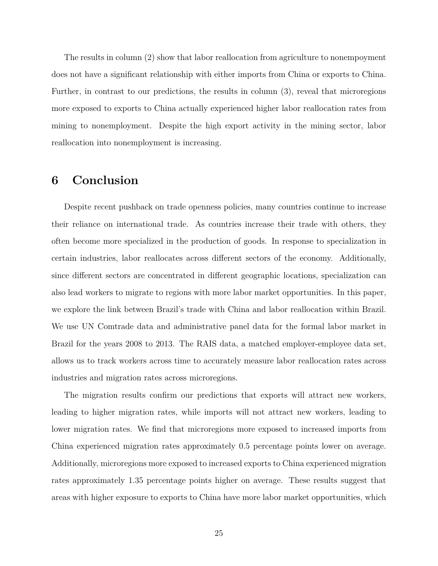The results in column (2) show that labor reallocation from agriculture to nonempoyment does not have a significant relationship with either imports from China or exports to China. Further, in contrast to our predictions, the results in column (3), reveal that microregions more exposed to exports to China actually experienced higher labor reallocation rates from mining to nonemployment. Despite the high export activity in the mining sector, labor reallocation into nonemployment is increasing.

#### **6 Conclusion**

Despite recent pushback on trade openness policies, many countries continue to increase their reliance on international trade. As countries increase their trade with others, they often become more specialized in the production of goods. In response to specialization in certain industries, labor reallocates across different sectors of the economy. Additionally, since different sectors are concentrated in different geographic locations, specialization can also lead workers to migrate to regions with more labor market opportunities. In this paper, we explore the link between Brazil's trade with China and labor reallocation within Brazil. We use UN Comtrade data and administrative panel data for the formal labor market in Brazil for the years 2008 to 2013. The RAIS data, a matched employer-employee data set, allows us to track workers across time to accurately measure labor reallocation rates across industries and migration rates across microregions.

The migration results confirm our predictions that exports will attract new workers, leading to higher migration rates, while imports will not attract new workers, leading to lower migration rates. We find that microregions more exposed to increased imports from China experienced migration rates approximately 0.5 percentage points lower on average. Additionally, microregions more exposed to increased exports to China experienced migration rates approximately 1.35 percentage points higher on average. These results suggest that areas with higher exposure to exports to China have more labor market opportunities, which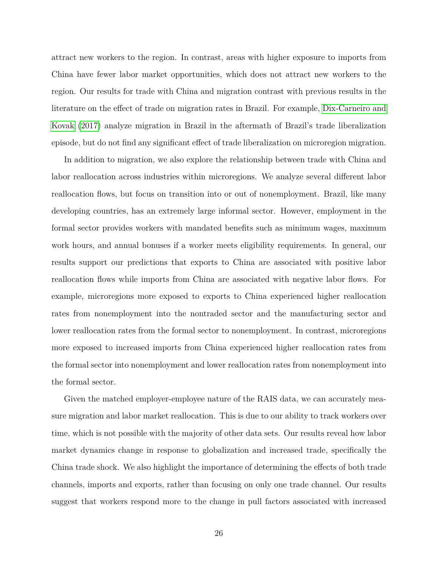attract new workers to the region. In contrast, areas with higher exposure to imports from China have fewer labor market opportunities, which does not attract new workers to the region. Our results for trade with China and migration contrast with previous results in the literature on the effect of trade on migration rates in Brazil. For example, [Dix-Carneiro and](#page-27-1) [Kovak](#page-27-1) [\(2017\)](#page-27-1) analyze migration in Brazil in the aftermath of Brazil's trade liberalization episode, but do not find any significant effect of trade liberalization on microregion migration.

In addition to migration, we also explore the relationship between trade with China and labor reallocation across industries within microregions. We analyze several different labor reallocation flows, but focus on transition into or out of nonemployment. Brazil, like many developing countries, has an extremely large informal sector. However, employment in the formal sector provides workers with mandated benefits such as minimum wages, maximum work hours, and annual bonuses if a worker meets eligibility requirements. In general, our results support our predictions that exports to China are associated with positive labor reallocation flows while imports from China are associated with negative labor flows. For example, microregions more exposed to exports to China experienced higher reallocation rates from nonemployment into the nontraded sector and the manufacturing sector and lower reallocation rates from the formal sector to nonemployment. In contrast, microregions more exposed to increased imports from China experienced higher reallocation rates from the formal sector into nonemployment and lower reallocation rates from nonemployment into the formal sector.

Given the matched employer-employee nature of the RAIS data, we can accurately measure migration and labor market reallocation. This is due to our ability to track workers over time, which is not possible with the majority of other data sets. Our results reveal how labor market dynamics change in response to globalization and increased trade, specifically the China trade shock. We also highlight the importance of determining the effects of both trade channels, imports and exports, rather than focusing on only one trade channel. Our results suggest that workers respond more to the change in pull factors associated with increased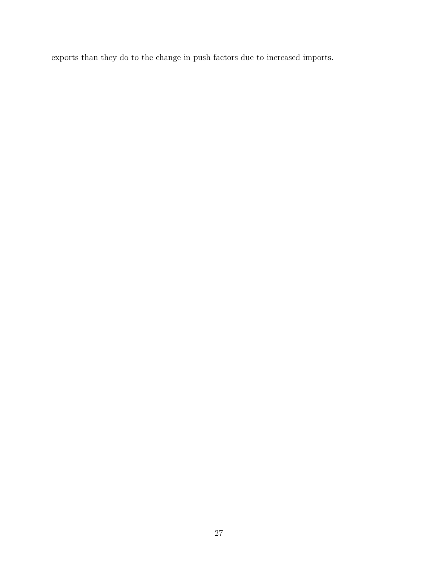exports than they do to the change in push factors due to increased imports.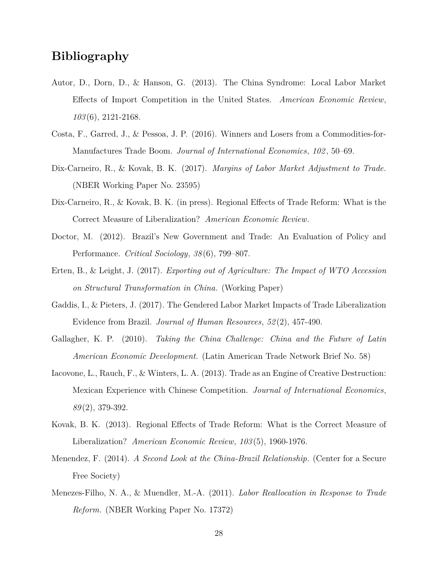## **Bibliography**

- <span id="page-27-0"></span>Autor, D., Dorn, D., & Hanson, G. (2013). The China Syndrome: Local Labor Market Effects of Import Competition in the United States. *American Economic Review*, *103* (6), 2121-2168.
- <span id="page-27-3"></span>Costa, F., Garred, J., & Pessoa, J. P. (2016). Winners and Losers from a Commodities-for-Manufactures Trade Boom. *Journal of International Economics*, *102* , 50–69.
- <span id="page-27-1"></span>Dix-Carneiro, R., & Kovak, B. K. (2017). *Margins of Labor Market Adjustment to Trade.* (NBER Working Paper No. 23595)
- <span id="page-27-4"></span>Dix-Carneiro, R., & Kovak, B. K. (in press). Regional Effects of Trade Reform: What is the Correct Measure of Liberalization? *American Economic Review*.
- <span id="page-27-8"></span>Doctor, M. (2012). Brazil's New Government and Trade: An Evaluation of Policy and Performance. *Critical Sociology*, *38* (6), 799–807.
- <span id="page-27-6"></span>Erten, B., & Leight, J. (2017). *Exporting out of Agriculture: The Impact of WTO Accession on Structural Transformation in China.* (Working Paper)
- <span id="page-27-11"></span>Gaddis, I., & Pieters, J. (2017). The Gendered Labor Market Impacts of Trade Liberalization Evidence from Brazil. *Journal of Human Resources*, *52* (2), 457-490.
- <span id="page-27-9"></span>Gallagher, K. P. (2010). *Taking the China Challenge: China and the Future of Latin American Economic Development.* (Latin American Trade Network Brief No. 58)
- <span id="page-27-5"></span>Iacovone, L., Rauch, F., & Winters, L. A. (2013). Trade as an Engine of Creative Destruction: Mexican Experience with Chinese Competition. *Journal of International Economics*, *89* (2), 379-392.
- <span id="page-27-10"></span>Kovak, B. K. (2013). Regional Effects of Trade Reform: What is the Correct Measure of Liberalization? *American Economic Review*, *103* (5), 1960-1976.
- <span id="page-27-7"></span>Menendez, F. (2014). *A Second Look at the China-Brazil Relationship.* (Center for a Secure Free Society)
- <span id="page-27-2"></span>Menezes-Filho, N. A., & Muendler, M.-A. (2011). *Labor Reallocation in Response to Trade Reform.* (NBER Working Paper No. 17372)